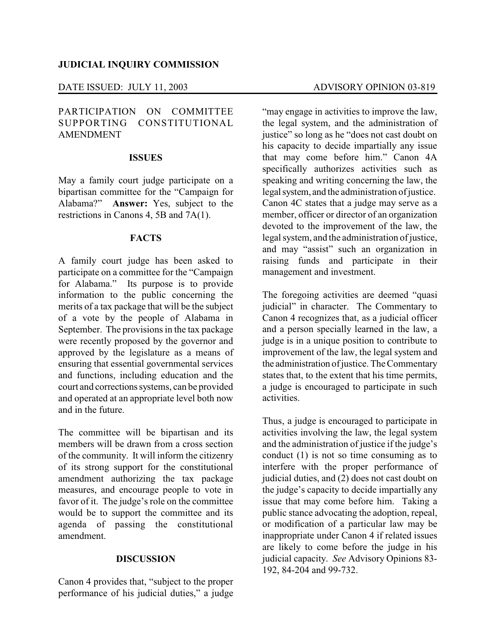## DATE ISSUED: JULY 11, 2003 ADVISORY OPINION 03-819

# PARTICIPATION ON COMMITTEE SUPPORTING CONSTITUTIONAL AMENDMENT

## **ISSUES**

May a family court judge participate on a bipartisan committee for the "Campaign for Alabama?" **Answer:** Yes, subject to the restrictions in Canons 4, 5B and 7A(1).

#### **FACTS**

A family court judge has been asked to participate on a committee for the "Campaign for Alabama." Its purpose is to provide information to the public concerning the merits of a tax package that will be the subject of a vote by the people of Alabama in September. The provisions in the tax package were recently proposed by the governor and approved by the legislature as a means of ensuring that essential governmental services and functions, including education and the court and corrections systems, can be provided and operated at an appropriate level both now and in the future.

The committee will be bipartisan and its members will be drawn from a cross section of the community. It will inform the citizenry of its strong support for the constitutional amendment authorizing the tax package measures, and encourage people to vote in favor of it. The judge's role on the committee would be to support the committee and its agenda of passing the constitutional amendment.

## **DISCUSSION**

Canon 4 provides that, "subject to the proper performance of his judicial duties," a judge

"may engage in activities to improve the law, the legal system, and the administration of justice" so long as he "does not cast doubt on his capacity to decide impartially any issue that may come before him." Canon 4A specifically authorizes activities such as speaking and writing concerning the law, the legal system, and the administration of justice. Canon 4C states that a judge may serve as a member, officer or director of an organization devoted to the improvement of the law, the legal system, and the administration of justice, and may "assist" such an organization in raising funds and participate in their management and investment.

The foregoing activities are deemed "quasi judicial" in character. The Commentary to Canon 4 recognizes that, as a judicial officer and a person specially learned in the law, a judge is in a unique position to contribute to improvement of the law, the legal system and the administration of justice. The Commentary states that, to the extent that his time permits, a judge is encouraged to participate in such activities.

Thus, a judge is encouraged to participate in activities involving the law, the legal system and the administration of justice if the judge's conduct (1) is not so time consuming as to interfere with the proper performance of judicial duties, and (2) does not cast doubt on the judge's capacity to decide impartially any issue that may come before him. Taking a public stance advocating the adoption, repeal, or modification of a particular law may be inappropriate under Canon 4 if related issues are likely to come before the judge in his judicial capacity. *See* Advisory Opinions 83- 192, 84-204 and 99-732.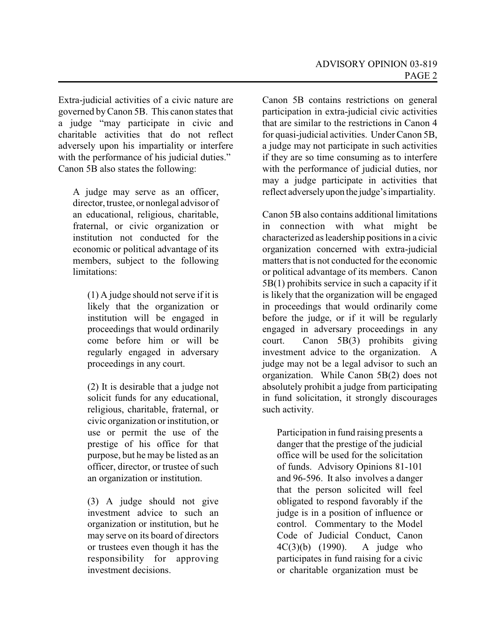Extra-judicial activities of a civic nature are governed byCanon 5B. This canon states that a judge "may participate in civic and charitable activities that do not reflect adversely upon his impartiality or interfere with the performance of his judicial duties." Canon 5B also states the following:

A judge may serve as an officer, director, trustee, or nonlegal advisor of an educational, religious, charitable, fraternal, or civic organization or institution not conducted for the economic or political advantage of its members, subject to the following limitations:

(1) A judge should not serve if it is likely that the organization or institution will be engaged in proceedings that would ordinarily come before him or will be regularly engaged in adversary proceedings in any court.

(2) It is desirable that a judge not solicit funds for any educational, religious, charitable, fraternal, or civic organization or institution, or use or permit the use of the prestige of his office for that purpose, but he may be listed as an officer, director, or trustee of such an organization or institution.

(3) A judge should not give investment advice to such an organization or institution, but he may serve on its board of directors or trustees even though it has the responsibility for approving investment decisions.

Canon 5B contains restrictions on general participation in extra-judicial civic activities that are similar to the restrictions in Canon 4 for quasi-judicial activities. UnderCanon 5B, a judge may not participate in such activities if they are so time consuming as to interfere with the performance of judicial duties, nor may a judge participate in activities that reflect adverselyupon the judge'simpartiality.

Canon 5B also contains additional limitations in connection with what might be characterized as leadership positions in a civic organization concerned with extra-judicial matters that is not conducted for the economic or political advantage of its members. Canon 5B(1) prohibits service in such a capacity if it is likely that the organization will be engaged in proceedings that would ordinarily come before the judge, or if it will be regularly engaged in adversary proceedings in any court. Canon 5B(3) prohibits giving investment advice to the organization. A judge may not be a legal advisor to such an organization. While Canon 5B(2) does not absolutely prohibit a judge from participating in fund solicitation, it strongly discourages such activity.

Participation in fund raising presents a danger that the prestige of the judicial office will be used for the solicitation of funds. Advisory Opinions 81-101 and 96-596. It also involves a danger that the person solicited will feel obligated to respond favorably if the judge is in a position of influence or control. Commentary to the Model Code of Judicial Conduct, Canon 4C(3)(b) (1990). A judge who participates in fund raising for a civic or charitable organization must be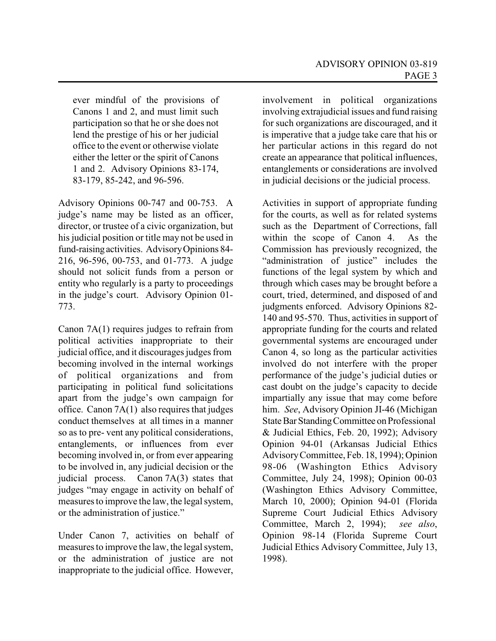ever mindful of the provisions of Canons 1 and 2, and must limit such participation so that he or she does not lend the prestige of his or her judicial office to the event or otherwise violate either the letter or the spirit of Canons 1 and 2. Advisory Opinions 83-174, 83-179, 85-242, and 96-596.

Advisory Opinions 00-747 and 00-753. A judge's name may be listed as an officer, director, or trustee of a civic organization, but his judicial position or title may not be used in fund-raising activities. AdvisoryOpinions 84- 216, 96-596, 00-753, and 01-773. A judge should not solicit funds from a person or entity who regularly is a party to proceedings in the judge's court. Advisory Opinion 01- 773.

Canon 7A(1) requires judges to refrain from political activities inappropriate to their judicial office, and it discourages judges from becoming involved in the internal workings of political organizations and from participating in political fund solicitations apart from the judge's own campaign for office. Canon 7A(1) also requires that judges conduct themselves at all times in a manner so as to pre- vent any political considerations, entanglements, or influences from ever becoming involved in, or from ever appearing to be involved in, any judicial decision or the judicial process. Canon 7A(3) states that judges "may engage in activity on behalf of measures to improve the law, the legal system, or the administration of justice."

Under Canon 7, activities on behalf of measures to improve the law, the legal system, or the administration of justice are not inappropriate to the judicial office. However,

involvement in political organizations involving extrajudicial issues and fund raising for such organizations are discouraged, and it is imperative that a judge take care that his or her particular actions in this regard do not create an appearance that political influences, entanglements or considerations are involved in judicial decisions or the judicial process.

Activities in support of appropriate funding for the courts, as well as for related systems such as the Department of Corrections, fall within the scope of Canon 4. As the Commission has previously recognized, the "administration of justice" includes the functions of the legal system by which and through which cases may be brought before a court, tried, determined, and disposed of and judgments enforced. Advisory Opinions 82- 140 and 95-570. Thus, activities in support of appropriate funding for the courts and related governmental systems are encouraged under Canon 4, so long as the particular activities involved do not interfere with the proper performance of the judge's judicial duties or cast doubt on the judge's capacity to decide impartially any issue that may come before him. *See*, Advisory Opinion JI-46 (Michigan State Bar Standing Committee on Professional & Judicial Ethics, Feb. 20, 1992); Advisory Opinion 94-01 (Arkansas Judicial Ethics AdvisoryCommittee, Feb. 18, 1994); Opinion 98-06 (Washington Ethics Advisory Committee, July 24, 1998); Opinion 00-03 (Washington Ethics Advisory Committee, March 10, 2000); Opinion 94-01 (Florida Supreme Court Judicial Ethics Advisory Committee, March 2, 1994); *see also*, Opinion 98-14 (Florida Supreme Court Judicial Ethics Advisory Committee, July 13, 1998).